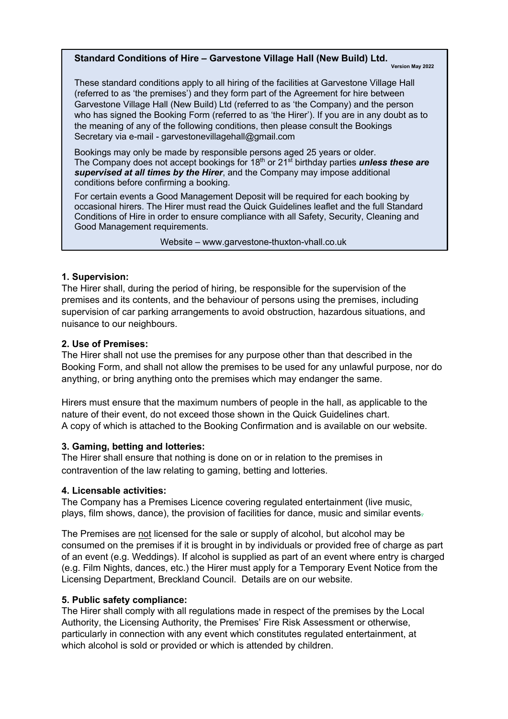# **Standard Conditions of Hire – Garvestone Village Hall (New Build) Ltd.** Version May 2022

These standard conditions apply to all hiring of the facilities at Garvestone Village Hall (referred to as 'the premises') and they form part of the Agreement for hire between Garvestone Village Hall (New Build) Ltd (referred to as 'the Company) and the person who has signed the Booking Form (referred to as 'the Hirer'). If you are in any doubt as to the meaning of any of the following conditions, then please consult the Bookings Secretary via e-mail - garvestonevillagehall@gmail.com

Bookings may only be made by responsible persons aged 25 years or older. The Company does not accept bookings for 18th or 21st birthday parties *unless these are supervised at all times by the Hirer*, and the Company may impose additional conditions before confirming a booking.

For certain events a Good Management Deposit will be required for each booking by occasional hirers. The Hirer must read the Quick Guidelines leaflet and the full Standard Conditions of Hire in order to ensure compliance with all Safety, Security, Cleaning and Good Management requirements.

Website – www.garvestone-thuxton-vhall.co.uk

### **1. Supervision:**

The Hirer shall, during the period of hiring, be responsible for the supervision of the premises and its contents, and the behaviour of persons using the premises, including supervision of car parking arrangements to avoid obstruction, hazardous situations, and nuisance to our neighbours.

## **2. Use of Premises:**

The Hirer shall not use the premises for any purpose other than that described in the Booking Form, and shall not allow the premises to be used for any unlawful purpose, nor do anything, or bring anything onto the premises which may endanger the same.

Hirers must ensure that the maximum numbers of people in the hall, as applicable to the nature of their event, do not exceed those shown in the Quick Guidelines chart. A copy of which is attached to the Booking Confirmation and is available on our website.

### **3. Gaming, betting and lotteries:**

The Hirer shall ensure that nothing is done on or in relation to the premises in contravention of the law relating to gaming, betting and lotteries.

### **4. Licensable activities:**

The Company has a Premises Licence covering regulated entertainment (live music, plays, film shows, dance), the provision of facilities for dance, music and similar events.

The Premises are not licensed for the sale or supply of alcohol, but alcohol may be consumed on the premises if it is brought in by individuals or provided free of charge as part of an event (e.g. Weddings). If alcohol is supplied as part of an event where entry is charged (e.g. Film Nights, dances, etc.) the Hirer must apply for a Temporary Event Notice from the Licensing Department, Breckland Council. Details are on our website.

### **5. Public safety compliance:**

The Hirer shall comply with all regulations made in respect of the premises by the Local Authority, the Licensing Authority, the Premises' Fire Risk Assessment or otherwise, particularly in connection with any event which constitutes regulated entertainment, at which alcohol is sold or provided or which is attended by children.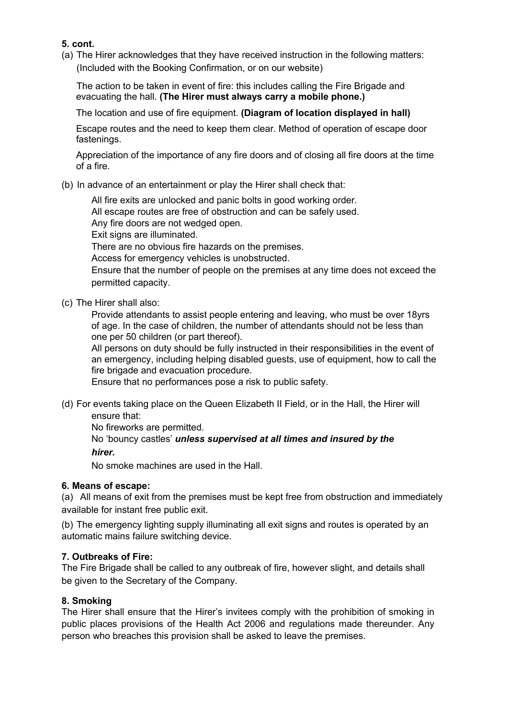# **5. cont.**

(a) The Hirer acknowledges that they have received instruction in the following matters: (Included with the Booking Confirmation, or on our website)

The action to be taken in event of fire: this includes calling the Fire Brigade and evacuating the hall. **(The Hirer must always carry a mobile phone.)**

The location and use of fire equipment. **(Diagram of location displayed in hall)**

Escape routes and the need to keep them clear. Method of operation of escape door fastenings.

Appreciation of the importance of any fire doors and of closing all fire doors at the time of a fire.

## (b) In advance of an entertainment or play the Hirer shall check that:

All fire exits are unlocked and panic bolts in good working order.

All escape routes are free of obstruction and can be safely used.

Any fire doors are not wedged open.

Exit signs are illuminated.

There are no obvious fire hazards on the premises.

Access for emergency vehicles is unobstructed.

Ensure that the number of people on the premises at any time does not exceed the permitted capacity.

(c) The Hirer shall also:

Provide attendants to assist people entering and leaving, who must be over 18yrs of age. In the case of children, the number of attendants should not be less than one per 50 children (or part thereof).

All persons on duty should be fully instructed in their responsibilities in the event of an emergency, including helping disabled guests, use of equipment, how to call the fire brigade and evacuation procedure.

Ensure that no performances pose a risk to public safety.

(d) For events taking place on the Queen Elizabeth II Field, or in the Hall, the Hirer will ensure that:

No fireworks are permitted.

No 'bouncy castles' *unless supervised at all times and insured by the hirer.*

No smoke machines are used in the Hall.

### **6. Means of escape:**

(a) All means of exit from the premises must be kept free from obstruction and immediately available for instant free public exit.

(b) The emergency lighting supply illuminating all exit signs and routes is operated by an automatic mains failure switching device.

# **7. Outbreaks of Fire:**

The Fire Brigade shall be called to any outbreak of fire, however slight, and details shall be given to the Secretary of the Company.

### **8. Smoking**

The Hirer shall ensure that the Hirer's invitees comply with the prohibition of smoking in public places provisions of the Health Act 2006 and regulations made thereunder. Any person who breaches this provision shall be asked to leave the premises.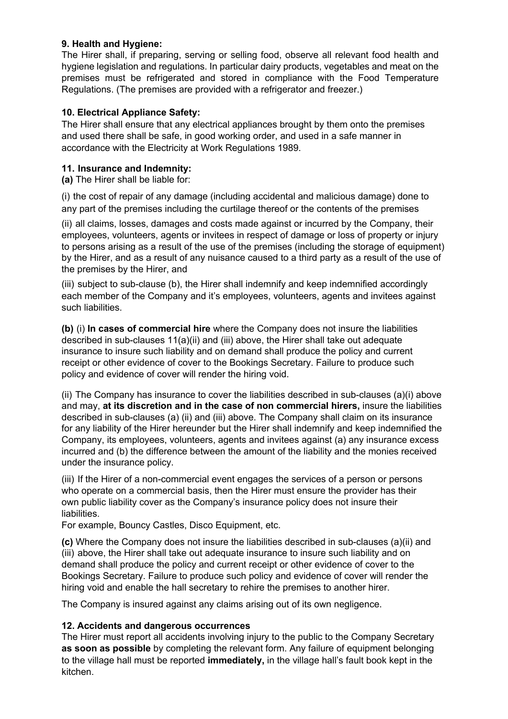## **9. Health and Hygiene:**

The Hirer shall, if preparing, serving or selling food, observe all relevant food health and hygiene legislation and regulations. In particular dairy products, vegetables and meat on the premises must be refrigerated and stored in compliance with the Food Temperature Regulations. (The premises are provided with a refrigerator and freezer.)

## **10. Electrical Appliance Safety:**

The Hirer shall ensure that any electrical appliances brought by them onto the premises and used there shall be safe, in good working order, and used in a safe manner in accordance with the Electricity at Work Regulations 1989.

## **11. Insurance and Indemnity:**

**(a)** The Hirer shall be liable for:

(i) the cost of repair of any damage (including accidental and malicious damage) done to any part of the premises including the curtilage thereof or the contents of the premises

(ii) all claims, losses, damages and costs made against or incurred by the Company, their employees, volunteers, agents or invitees in respect of damage or loss of property or injury to persons arising as a result of the use of the premises (including the storage of equipment) by the Hirer, and as a result of any nuisance caused to a third party as a result of the use of the premises by the Hirer, and

(iii) subject to sub-clause (b), the Hirer shall indemnify and keep indemnified accordingly each member of the Company and it's employees, volunteers, agents and invitees against such liabilities.

**(b)** (i) **In cases of commercial hire** where the Company does not insure the liabilities described in sub-clauses 11(a)(ii) and (iii) above, the Hirer shall take out adequate insurance to insure such liability and on demand shall produce the policy and current receipt or other evidence of cover to the Bookings Secretary. Failure to produce such policy and evidence of cover will render the hiring void.

(ii) The Company has insurance to cover the liabilities described in sub-clauses (a)(i) above and may, **at its discretion and in the case of non commercial hirers,** insure the liabilities described in sub-clauses (a) (ii) and (iii) above. The Company shall claim on its insurance for any liability of the Hirer hereunder but the Hirer shall indemnify and keep indemnified the Company, its employees, volunteers, agents and invitees against (a) any insurance excess incurred and (b) the difference between the amount of the liability and the monies received under the insurance policy.

(iii) If the Hirer of a non-commercial event engages the services of a person or persons who operate on a commercial basis, then the Hirer must ensure the provider has their own public liability cover as the Company's insurance policy does not insure their liabilities.

For example, Bouncy Castles, Disco Equipment, etc.

**(c)** Where the Company does not insure the liabilities described in sub-clauses (a)(ii) and (iii) above, the Hirer shall take out adequate insurance to insure such liability and on demand shall produce the policy and current receipt or other evidence of cover to the Bookings Secretary. Failure to produce such policy and evidence of cover will render the hiring void and enable the hall secretary to rehire the premises to another hirer.

The Company is insured against any claims arising out of its own negligence.

### **12. Accidents and dangerous occurrences**

The Hirer must report all accidents involving injury to the public to the Company Secretary **as soon as possible** by completing the relevant form. Any failure of equipment belonging to the village hall must be reported **immediately,** in the village hall's fault book kept in the kitchen.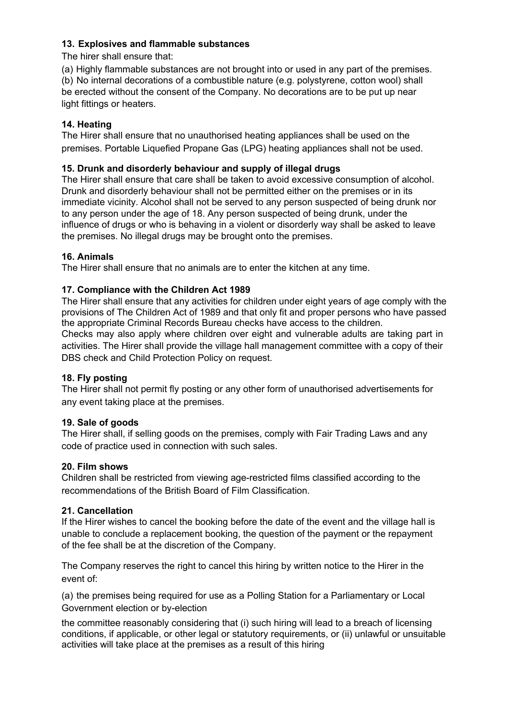## **13. Explosives and flammable substances**

The hirer shall ensure that:

(a) Highly flammable substances are not brought into or used in any part of the premises.

(b) No internal decorations of a combustible nature (e.g. polystyrene, cotton wool) shall be erected without the consent of the Company. No decorations are to be put up near light fittings or heaters.

# **14. Heating**

The Hirer shall ensure that no unauthorised heating appliances shall be used on the premises. Portable Liquefied Propane Gas (LPG) heating appliances shall not be used.

# **15. Drunk and disorderly behaviour and supply of illegal drugs**

The Hirer shall ensure that care shall be taken to avoid excessive consumption of alcohol. Drunk and disorderly behaviour shall not be permitted either on the premises or in its immediate vicinity. Alcohol shall not be served to any person suspected of being drunk nor to any person under the age of 18. Any person suspected of being drunk, under the influence of drugs or who is behaving in a violent or disorderly way shall be asked to leave the premises. No illegal drugs may be brought onto the premises.

# **16. Animals**

The Hirer shall ensure that no animals are to enter the kitchen at any time.

## **17. Compliance with the Children Act 1989**

The Hirer shall ensure that any activities for children under eight years of age comply with the provisions of The Children Act of 1989 and that only fit and proper persons who have passed the appropriate Criminal Records Bureau checks have access to the children.

Checks may also apply where children over eight and vulnerable adults are taking part in activities. The Hirer shall provide the village hall management committee with a copy of their DBS check and Child Protection Policy on request.

# **18. Fly posting**

The Hirer shall not permit fly posting or any other form of unauthorised advertisements for any event taking place at the premises.

### **19. Sale of goods**

The Hirer shall, if selling goods on the premises, comply with Fair Trading Laws and any code of practice used in connection with such sales.

# **20. Film shows**

Children shall be restricted from viewing age-restricted films classified according to the recommendations of the British Board of Film Classification.

# **21. Cancellation**

If the Hirer wishes to cancel the booking before the date of the event and the village hall is unable to conclude a replacement booking, the question of the payment or the repayment of the fee shall be at the discretion of the Company.

The Company reserves the right to cancel this hiring by written notice to the Hirer in the event of:

(a) the premises being required for use as a Polling Station for a Parliamentary or Local Government election or by-election

the committee reasonably considering that (i) such hiring will lead to a breach of licensing conditions, if applicable, or other legal or statutory requirements, or (ii) unlawful or unsuitable activities will take place at the premises as a result of this hiring